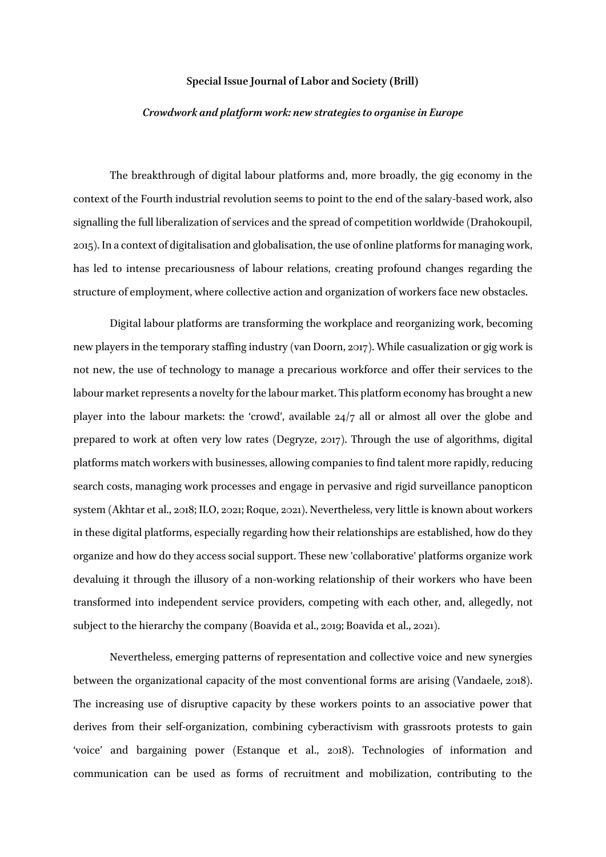## **Special Issue Journal of Labor and Society (Brill)**

## *Crowdwork and platform work: new strategies to organise in Europe*

The breakthrough of digital labour platforms and, more broadly, the gig economy in the context of the Fourth industrial revolution seems to point to the end of the salary-based work, also signalling the full liberalization of services and the spread of competition worldwide (Drahokoupil, 2015). In a context of digitalisation and globalisation, the use of online platforms for managing work, has led to intense precariousness of labour relations, creating profound changes regarding the structure of employment, where collective action and organization of workers face new obstacles.

Digital labour platforms are transforming the workplace and reorganizing work, becoming new players in the temporary staffing industry (van Doorn, 2017). While casualization or gig work is not new, the use of technology to manage a precarious workforce and offer their services to the labour market represents a novelty for the labour market. This platform economy has brought a new player into the labour markets: the 'crowd', available 24/7 all or almost all over the globe and prepared to work at often very low rates (Degryze, 2017). Through the use of algorithms, digital platforms match workers with businesses, allowing companies to find talent more rapidly, reducing search costs, managing work processes and engage in pervasive and rigid surveillance panopticon system (Akhtar et al., 2018; ILO, 2021; Roque, 2021). Nevertheless, very little is known about workers in these digital platforms, especially regarding how their relationships are established, how do they organize and how do they access social support. These new 'collaborative' platforms organize work devaluing it through the illusory of a non-working relationship of their workers who have been transformed into independent service providers, competing with each other, and, allegedly, not subject to the hierarchy the company (Boavida et al., 2019; Boavida et al., 2021).

Nevertheless, emerging patterns of representation and collective voice and new synergies between the organizational capacity of the most conventional forms are arising (Vandaele, 2018). The increasing use of disruptive capacity by these workers points to an associative power that derives from their self-organization, combining cyberactivism with grassroots protests to gain 'voice' and bargaining power (Estanque et al., 2018). Technologies of information and communication can be used as forms of recruitment and mobilization, contributing to the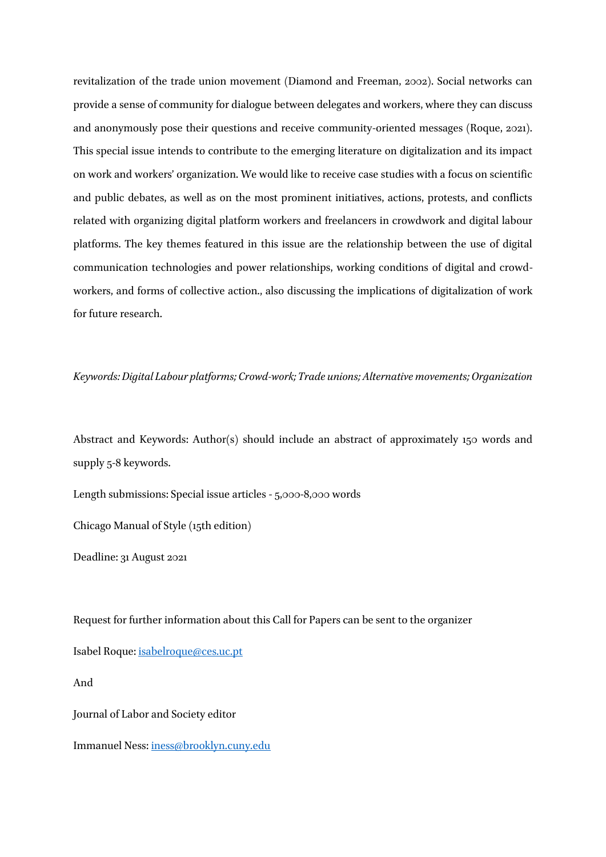revitalization of the trade union movement (Diamond and Freeman, 2002). Social networks can provide a sense of community for dialogue between delegates and workers, where they can discuss and anonymously pose their questions and receive community-oriented messages (Roque, 2021). This special issue intends to contribute to the emerging literature on digitalization and its impact on work and workers' organization. We would like to receive case studies with a focus on scientific and public debates, as well as on the most prominent initiatives, actions, protests, and conflicts related with organizing digital platform workers and freelancers in crowdwork and digital labour platforms. The key themes featured in this issue are the relationship between the use of digital communication technologies and power relationships, working conditions of digital and crowdworkers, and forms of collective action., also discussing the implications of digitalization of work for future research.

## *Keywords: Digital Labour platforms; Crowd-work; Trade unions; Alternative movements; Organization*

Abstract and Keywords: Author(s) should include an abstract of approximately 150 words and supply 5-8 keywords.

Length submissions: Special issue articles - 5,000-8,000 words

Chicago Manual of Style (15th edition)

Deadline: 31 August 2021

Request for further information about this Call for Papers can be sent to the organizer

Isabel Roque: [isabelroque@ces.uc.pt](mailto:isabelroque@ces.uc.pt)

And

Journal of Labor and Society editor

Immanuel Ness[: iness@brooklyn.cuny.edu](mailto:iness@brooklyn.cuny.edu)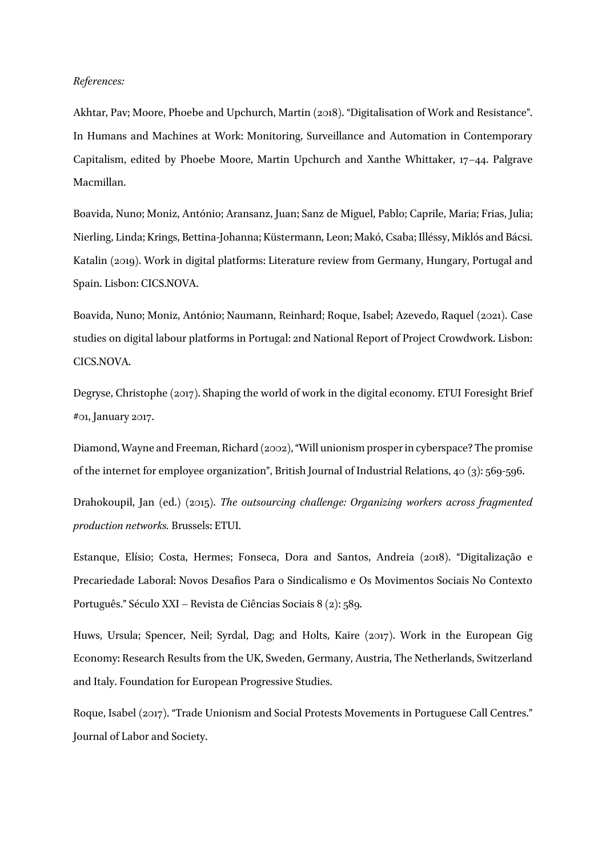## *References:*

Akhtar, Pav; Moore, Phoebe and Upchurch, Martin (2018). "Digitalisation of Work and Resistance". In Humans and Machines at Work: Monitoring, Surveillance and Automation in Contemporary Capitalism, edited by Phoebe Moore, Martin Upchurch and Xanthe Whittaker, 17–44. Palgrave Macmillan.

Boavida, Nuno; Moniz, António; Aransanz, Juan; Sanz de Miguel, Pablo; Caprile, Maria; Frias, Julia; Nierling, Linda; Krings, Bettina-Johanna; Küstermann, Leon; Makó, Csaba; Illéssy, Miklós and Bácsi. Katalin (2019). Work in digital platforms: Literature review from Germany, Hungary, Portugal and Spain. Lisbon: CICS.NOVA.

Boavida, Nuno; Moniz, António; Naumann, Reinhard; Roque, Isabel; Azevedo, Raquel (2021). Case studies on digital labour platforms in Portugal: 2nd National Report of Project Crowdwork. Lisbon: CICS.NOVA.

Degryse, Christophe (2017). Shaping the world of work in the digital economy. ETUI Foresight Brief #01, January 2017.

Diamond, Wayne and Freeman, Richard (2002), "Will unionism prosper in cyberspace? The promise of the internet for employee organization", British Journal of Industrial Relations, 40 (3): 569-596.

Drahokoupil, Jan (ed.) (2015). *The outsourcing challenge: Organizing workers across fragmented production networks.* Brussels: ETUI.

Estanque, Elísio; Costa, Hermes; Fonseca, Dora and Santos, Andreia (2018). "Digitalização e Precariedade Laboral: Novos Desafios Para o Sindicalismo e Os Movimentos Sociais No Contexto Português." Século XXI – Revista de Ciências Sociais 8 (2): 589.

Huws, Ursula; Spencer, Neil; Syrdal, Dag; and Holts, Kaire (2017). Work in the European Gig Economy: Research Results from the UK, Sweden, Germany, Austria, The Netherlands, Switzerland and Italy. Foundation for European Progressive Studies.

Roque, Isabel (2017). "Trade Unionism and Social Protests Movements in Portuguese Call Centres." Journal of Labor and Society.